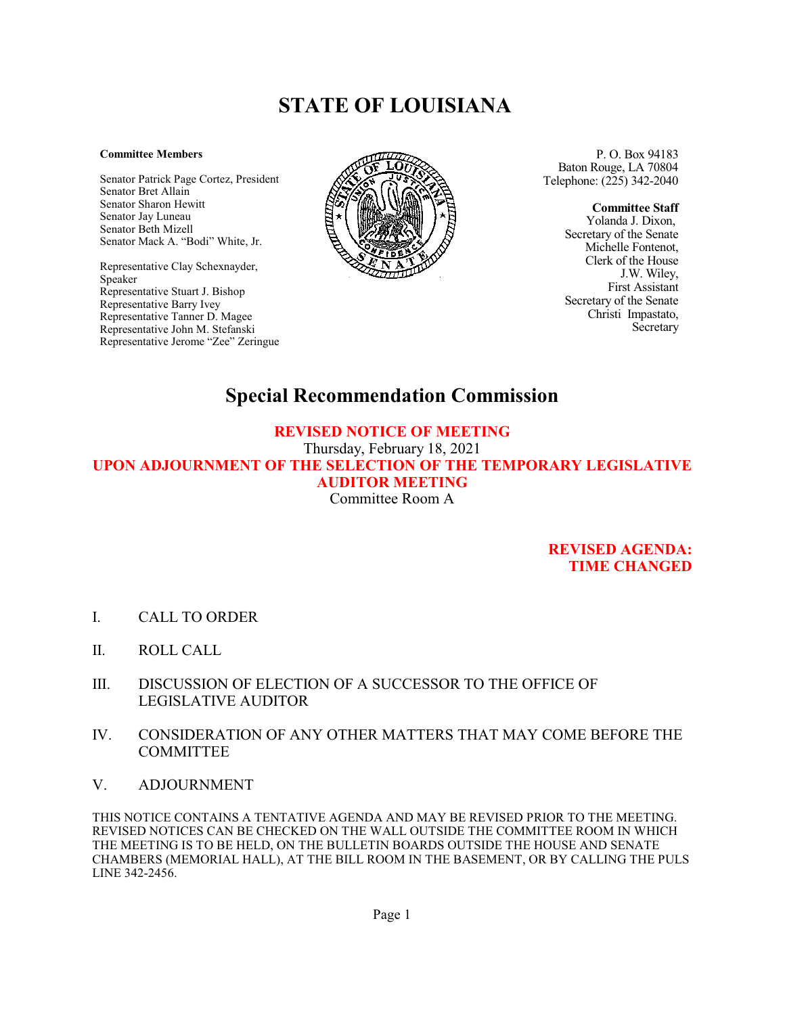## **STATE OF LOUISIANA**

## **Committee Members**

Senator Patrick Page Cortez, President Senator Bret Allain Senator Sharon Hewitt Senator Jay Luneau Senator Beth Mizell Senator Mack A. "Bodi" White, Jr.

Representative Clay Schexnayder, Speaker Representative Stuart J. Bishop Representative Barry Ivey Representative Tanner D. Magee Representative John M. Stefanski Representative Jerome "Zee" Zeringue



P. O. Box 94183 Baton Rouge, LA 70804 Telephone: (225) 342-2040

> **Committee Staff** Yolanda J. Dixon, Secretary of the Senate Michelle Fontenot, Clerk of the House J.W. Wiley, First Assistant

> Secretary of the Senate Christi Impastato, Secretary

## **Special Recommendation Commission**

## **REVISED NOTICE OF MEETING**

Thursday, February 18, 2021 **UPON ADJOURNMENT OF THE SELECTION OF THE TEMPORARY LEGISLATIVE AUDITOR MEETING** Committee Room A

> **REVISED AGENDA: TIME CHANGED**

- I. CALL TO ORDER
- II. ROLL CALL
- III. DISCUSSION OF ELECTION OF A SUCCESSOR TO THE OFFICE OF LEGISLATIVE AUDITOR
- IV. CONSIDERATION OF ANY OTHER MATTERS THAT MAY COME BEFORE THE **COMMITTEE**
- V. ADJOURNMENT

THIS NOTICE CONTAINS A TENTATIVE AGENDA AND MAY BE REVISED PRIOR TO THE MEETING. REVISED NOTICES CAN BE CHECKED ON THE WALL OUTSIDE THE COMMITTEE ROOM IN WHICH THE MEETING IS TO BE HELD, ON THE BULLETIN BOARDS OUTSIDE THE HOUSE AND SENATE CHAMBERS (MEMORIAL HALL), AT THE BILL ROOM IN THE BASEMENT, OR BY CALLING THE PULS LINE 342-2456.